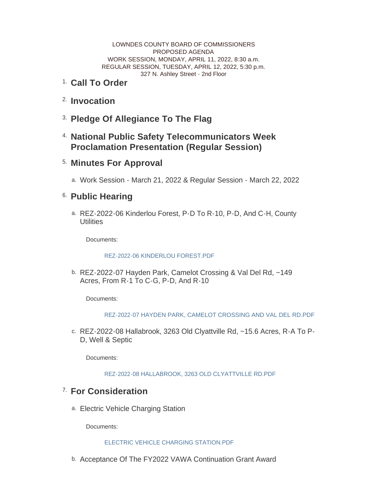LOWNDES COUNTY BOARD OF COMMISSIONERS PROPOSED AGENDA WORK SESSION, MONDAY, APRIL 11, 2022, 8:30 a.m. REGULAR SESSION, TUESDAY, APRIL 12, 2022, 5:30 p.m. 327 N. Ashley Street - 2nd Floor

- <sup>1.</sup> Call To Order
- <sup>2.</sup> Invocation
- **Pledge Of Allegiance To The Flag** 3.
- **National Public Safety Telecommunicators Week**  4. **Proclamation Presentation (Regular Session)**
- **Minutes For Approval** 5.
	- Work Session March 21, 2022 & Regular Session March 22, 2022 a.

## <sup>6.</sup> Public Hearing

REZ-2022-06 Kinderlou Forest, P-D To R-10, P-D, And C-H, County a. **Utilities** 

Documents:

## REZ-2022-06 KINDERLOU FOREST PDF

REZ-2022-07 Hayden Park, Camelot Crossing & Val Del Rd, ~149 b. Acres, From R-1 To C-G, P-D, And R-10

Documents:

[REZ-2022-07 HAYDEN PARK, CAMELOT CROSSING AND VAL DEL RD.PDF](http://www.lowndescounty.com/AgendaCenter/ViewFile/Item/3480?fileID=4044)

c. REZ-2022-08 Hallabrook, 3263 Old Clyattville Rd, ~15.6 Acres, R-A To P-D, Well & Septic

Documents:

[REZ-2022-08 HALLABROOK, 3263 OLD CLYATTVILLE RD.PDF](http://www.lowndescounty.com/AgendaCenter/ViewFile/Item/3488?fileID=4055)

## **For Consideration** 7.

a. Electric Vehicle Charging Station

Documents:

## [ELECTRIC VEHICLE CHARGING STATION.PDF](http://www.lowndescounty.com/AgendaCenter/ViewFile/Item/3482?fileID=4046)

b. Acceptance Of The FY2022 VAWA Continuation Grant Award